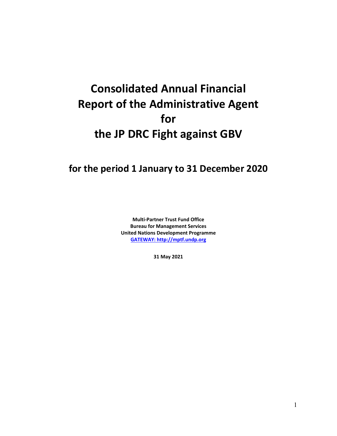# **Consolidated Annual Financial Report of the Administrative Agent for the JP DRC Fight against GBV**

## **for the period 1 January to 31 December 2020**

**Multi-Partner Trust Fund Office Bureau for Management Services United Nations Development Programme [GATEWAY: http://mptf.undp.org](http://mptf.undp.org/)**

**31 May 2021**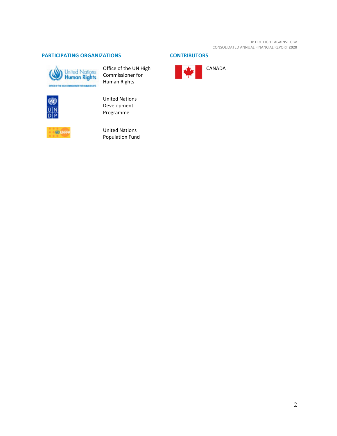### **PARTICIPATING ORGANIZATIONS CONTRIBUTORS**



Office of the UN High Commissioner for Human Rights



United Nations Development Programme



United Nations Population Fund

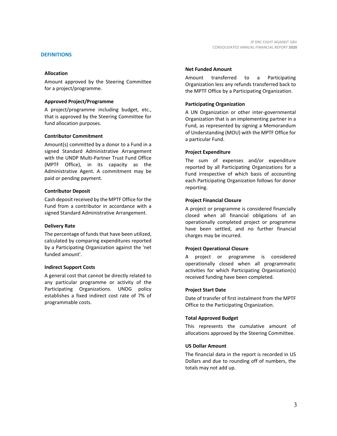#### **Allocation**

Amount approved by the Steering Committee for a project/programme.

#### **Approved Project/Programme**

A project/programme including budget, etc., that is approved by the Steering Committee for fund allocation purposes.

#### **Contributor Commitment**

Amount(s) committed by a donor to a Fund in a signed Standard Administrative Arrangement with the UNDP Multi-Partner Trust Fund Office (MPTF Office), in its capacity as the Administrative Agent. A commitment may be paid or pending payment.

#### **Contributor Deposit**

Cash deposit received by the MPTF Office for the Fund from a contributor in accordance with a signed Standard Administrative Arrangement.

#### **Delivery Rate**

The percentage of funds that have been utilized, calculated by comparing expenditures reported by a Participating Organization against the 'net funded amount'.

#### **Indirect Support Costs**

A general cost that cannot be directly related to any particular programme or activity of the Participating Organizations. UNDG policy establishes a fixed indirect cost rate of 7% of programmable costs.

#### **Net Funded Amount**

Amount transferred to a Participating Organization less any refunds transferred back to the MPTF Office by a Participating Organization.

#### **Participating Organization**

A UN Organization or other inter-governmental Organization that is an implementing partner in a Fund, as represented by signing a Memorandum of Understanding (MOU) with the MPTF Office for a particular Fund.

#### **Project Expenditure**

The sum of expenses and/or expenditure reported by all Participating Organizations for a Fund irrespective of which basis of accounting each Participating Organization follows for donor reporting.

#### **Project Financial Closure**

A project or programme is considered financially closed when all financial obligations of an operationally completed project or programme have been settled, and no further financial charges may be incurred.

#### **Project Operational Closure**

A project or programme is considered operationally closed when all programmatic activities for which Participating Organization(s) received funding have been completed.

#### **Project Start Date**

Date of transfer of first instalment from the MPTF Office to the Participating Organization.

#### **Total Approved Budget**

This represents the cumulative amount of allocations approved by the Steering Committee.

#### **US Dollar Amount**

The financial data in the report is recorded in US Dollars and due to rounding off of numbers, the totals may not add up.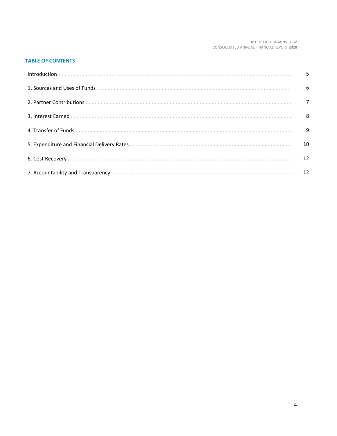#### JP DRC FIGHT AGAINST GBV CONSOLIDATED ANNUAL FINANCIAL REPORT **2020**

#### **TABLE OF CONTENTS**

| 6 |
|---|
|   |
|   |
|   |
|   |
|   |
|   |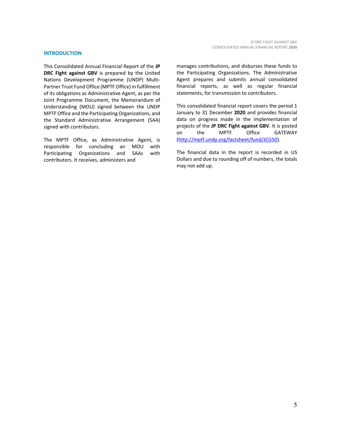#### **INTRODUCTION**

This Consolidated Annual Financial Report of the **JP DRC Fight against GBV** is prepared by the United Nations Development Programme (UNDP) Multi-Partner Trust Fund Office (MPTF Office) in fulfillment of its obligations as Administrative Agent, as per the Joint Programme Document, the Memorandum of Understanding (MOU) signed between the UNDP MPTF Office and the Participating Organizations, and the Standard Administrative Arrangement (SAA) signed with contributors.

The MPTF Office, as Administrative Agent, is responsible for concluding an MOU with Participating Organizations and SAAs with contributors. It receives, administers and

manages contributions, and disburses these funds to the Participating Organizations. The Administrative Agent prepares and submits annual consolidated financial reports, as well as regular financial statements, for transmission to contributors.

This consolidated financial report covers the period 1 January to 31 December **2020** and provides financial data on progress made in the implementation of projects of the **JP DRC Fight against GBV**. It is posted on the MPTF Office GATEWAY [\(http://mptf.undp.org/factsheet/fund/JCG50\)](http://mptf.undp.org/factsheet/fund/JCG50).

The financial data in the report is recorded in US Dollars and due to rounding off of numbers, the totals may not add up.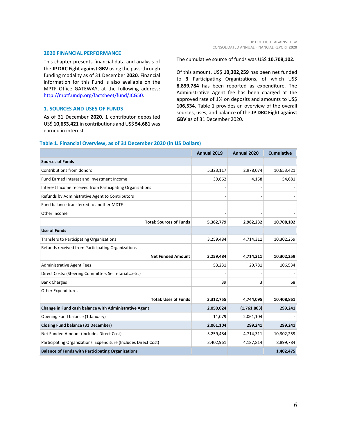#### **2020 FINANCIAL PERFORMANCE**

This chapter presents financial data and analysis of the **JP DRC Fight against GBV** using the pass-through funding modality as of 31 December **2020**. Financial information for this Fund is also available on the MPTF Office GATEWAY, at the following address: [http://mptf.undp.org/factsheet/fund/JCG50.](http://mptf.undp.org/factsheet/fund/JCG50)

#### **1. SOURCES AND USES OF FUNDS**

As of 31 December **2020**, **1** contributor deposited US\$ **10,653,421** in contributions and US\$ **54,681** was earned in interest.

The cumulative source of funds was US\$ **10,708,102.**

Of this amount, US\$ **10,302,259** has been net funded to **3** Participating Organizations, of which US\$ **8,899,784** has been reported as expenditure. The Administrative Agent fee has been charged at the approved rate of 1% on deposits and amounts to US\$ **106,534**. Table 1 provides an overview of the overall sources, uses, and balance of the **JP DRC Fight against GBV** as of 31 December 2020.

#### **Table 1. Financial Overview, as of 31 December 2020 (in US Dollars)**

|                                                                 | Annual 2019 | Annual 2020 | <b>Cumulative</b> |
|-----------------------------------------------------------------|-------------|-------------|-------------------|
| <b>Sources of Funds</b>                                         |             |             |                   |
| Contributions from donors                                       | 5,323,117   | 2,978,074   | 10,653,421        |
| Fund Earned Interest and Investment Income                      | 39,662      | 4,158       | 54,681            |
| Interest Income received from Participating Organizations       |             |             |                   |
| Refunds by Administrative Agent to Contributors                 |             |             |                   |
| Fund balance transferred to another MDTF                        |             |             |                   |
| Other Income                                                    |             |             |                   |
| <b>Total: Sources of Funds</b>                                  | 5,362,779   | 2,982,232   | 10,708,102        |
| <b>Use of Funds</b>                                             |             |             |                   |
| Transfers to Participating Organizations                        | 3,259,484   | 4,714,311   | 10,302,259        |
| Refunds received from Participating Organizations               |             |             |                   |
| <b>Net Funded Amount</b>                                        | 3,259,484   | 4,714,311   | 10,302,259        |
| <b>Administrative Agent Fees</b>                                | 53,231      | 29,781      | 106,534           |
| Direct Costs: (Steering Committee, Secretariatetc.)             |             |             |                   |
| <b>Bank Charges</b>                                             | 39          | 3           | 68                |
| <b>Other Expenditures</b>                                       |             |             |                   |
| <b>Total: Uses of Funds</b>                                     | 3,312,755   | 4,744,095   | 10,408,861        |
| Change in Fund cash balance with Administrative Agent           | 2,050,024   | (1,761,863) | 299,241           |
| Opening Fund balance (1 January)                                | 11,079      | 2,061,104   |                   |
| <b>Closing Fund balance (31 December)</b>                       | 2,061,104   | 299,241     | 299,241           |
| Net Funded Amount (Includes Direct Cost)                        | 3,259,484   | 4,714,311   | 10,302,259        |
| Participating Organizations' Expenditure (Includes Direct Cost) | 3,402,961   | 4,187,814   | 8,899,784         |
| <b>Balance of Funds with Participating Organizations</b>        |             |             | 1,402,475         |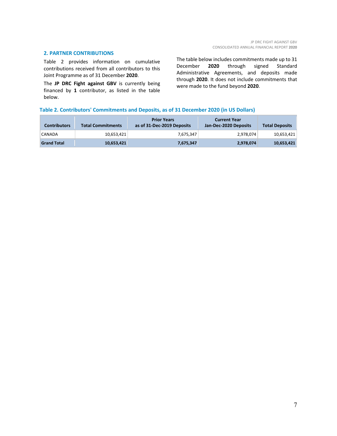#### **2. PARTNER CONTRIBUTIONS**

Table 2 provides information on cumulative contributions received from all contributors to this Joint Programme as of 31 December **2020**.

The **JP DRC Fight against GBV** is currently being financed by **1** contributor, as listed in the table below.

The table below includes commitments made up to 31 December **2020** through signed Standard Administrative Agreements, and deposits made through **2020**. It does not include commitments that were made to the fund beyond **2020**.

#### **Table 2. Contributors' Commitments and Deposits, as of 31 December 2020 (in US Dollars)**

| <b>Contributors</b> | <b>Total Commitments</b> | <b>Prior Years</b><br>as of 31-Dec-2019 Deposits | <b>Current Year</b><br>Jan-Dec-2020 Deposits | <b>Total Deposits</b> |
|---------------------|--------------------------|--------------------------------------------------|----------------------------------------------|-----------------------|
| CANADA              | 10.653.421               | 7.675.347                                        | 2.978.074                                    | 10,653,421            |
| <b>Grand Total</b>  | 10,653,421               | 7,675,347                                        | 2,978,074                                    | 10,653,421            |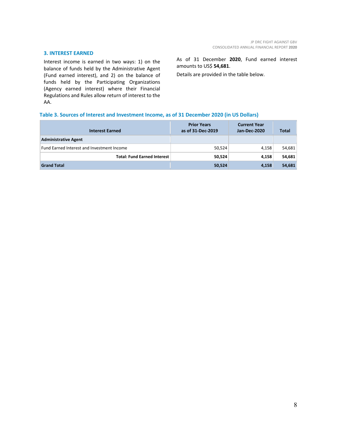#### **3. INTEREST EARNED**

Interest income is earned in two ways: 1) on the balance of funds held by the Administrative Agent (Fund earned interest), and 2) on the balance of funds held by the Participating Organizations (Agency earned interest) where their Financial Regulations and Rules allow return of interest to the AA.

As of 31 December **2020**, Fund earned interest amounts to US\$ **54,681**.

Details are provided in the table below.

#### **Table 3. Sources of Interest and Investment Income, as of 31 December 2020 (in US Dollars)**

| <b>Interest Earned</b>                     | <b>Prior Years</b><br>as of 31-Dec-2019 | <b>Current Year</b><br>Jan-Dec-2020 | <b>Total</b> |
|--------------------------------------------|-----------------------------------------|-------------------------------------|--------------|
| <b>Administrative Agent</b>                |                                         |                                     |              |
| Fund Earned Interest and Investment Income | 50,524                                  | 4,158                               | 54,681       |
| <b>Total: Fund Earned Interest</b>         | 50,524                                  | 4,158                               | 54,681       |
| <b>Grand Total</b>                         | 50,524                                  | 4,158                               | 54,681       |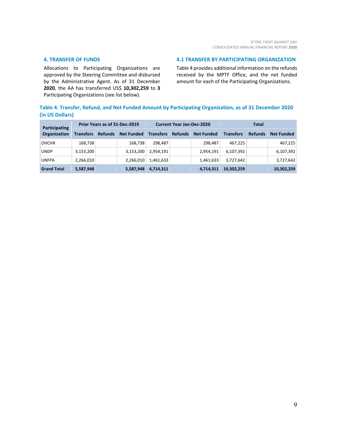#### **4. TRANSFER OF FUNDS**

Allocations to Participating Organizations are approved by the Steering Committee and disbursed by the Administrative Agent. As of 31 December **2020**, the AA has transferred US\$ **10,302,259** to **3** Participating Organizations (see list below).

#### **4.1 TRANSFER BY PARTICIPATING ORGANIZATION**

Table 4 provides additional information on the refunds received by the MPTF Office, and the net funded amount for each of the Participating Organizations.

#### **Table 4. Transfer, Refund, and Net Funded Amount by Participating Organization, as of 31 December 2020 (in US Dollars)**

| Participating<br>Organization | Prior Years as of 31-Dec-2019 |                |                   | <b>Current Year Jan-Dec-2020</b> |                |                   | Total            |                |                   |
|-------------------------------|-------------------------------|----------------|-------------------|----------------------------------|----------------|-------------------|------------------|----------------|-------------------|
|                               | <b>Transfers</b>              | <b>Refunds</b> | <b>Net Funded</b> | <b>Transfers</b>                 | <b>Refunds</b> | <b>Net Funded</b> | <b>Transfers</b> | <b>Refunds</b> | <b>Net Funded</b> |
| <b>OHCHR</b>                  | 168,738                       |                | 168.738           | 298.487                          |                | 298.487           | 467.225          |                | 467,225           |
| <b>UNDP</b>                   | 3,153,200                     |                | 3,153,200         | 2,954,191                        |                | 2,954,191         | 6,107,392        |                | 6,107,392         |
| <b>UNFPA</b>                  | 2,266,010                     |                | 2,266,010         | 1,461,633                        |                | 1,461,633         | 3,727,642        |                | 3,727,642         |
| <b>Grand Total</b>            | 5,587,948                     |                | 5,587,948         | 4,714,311                        |                | 4,714,311         | 10,302,259       |                | 10,302,259        |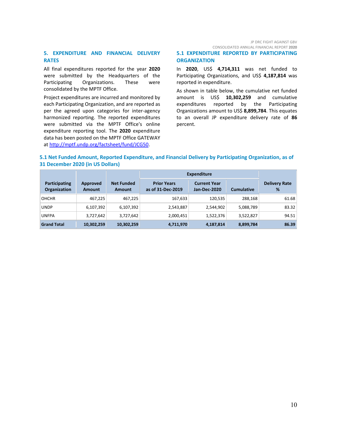#### JP DRC FIGHT AGAINST GBV CONSOLIDATED ANNUAL FINANCIAL REPORT **2020**

#### **5. EXPENDITURE AND FINANCIAL DELIVERY RATES**

All final expenditures reported for the year **2020** were submitted by the Headquarters of the Participating Organizations. These were consolidated by the MPTF Office.

Project expenditures are incurred and monitored by each Participating Organization, and are reported as per the agreed upon categories for inter-agency harmonized reporting. The reported expenditures were submitted via the MPTF Office's online expenditure reporting tool. The **2020** expenditure data has been posted on the MPTF Office GATEWAY at [http://mptf.undp.org/factsheet/fund/JCG50.](http://mptf.undp.org/factsheet/fund/JCG50)

#### **5.1 EXPENDITURE REPORTED BY PARTICIPATING ORGANIZATION**

In **2020**, US\$ **4,714,311** was net funded to Participating Organizations, and US\$ 4,187,814 was reported in expenditure.

As shown in table below, the cumulative net funded amount is US\$ **10,302,259** and cumulative expenditures reported by the Participating Organizations amount to US\$ **8,899,784**. This equates to an overall JP expenditure delivery rate of **86** percent.

#### **5.1 Net Funded Amount, Reported Expenditure, and Financial Delivery by Participating Organization, as of 31 December 2020 (in US Dollars)**

|                                      |                           |                                    | <b>Expenditure</b>                      |                                     |                   |                           |
|--------------------------------------|---------------------------|------------------------------------|-----------------------------------------|-------------------------------------|-------------------|---------------------------|
| Participating<br><b>Organization</b> | Approved<br><b>Amount</b> | <b>Net Funded</b><br><b>Amount</b> | <b>Prior Years</b><br>as of 31-Dec-2019 | <b>Current Year</b><br>Jan-Dec-2020 | <b>Cumulative</b> | <b>Delivery Rate</b><br>% |
| <b>OHCHR</b>                         | 467,225                   | 467,225                            | 167,633                                 | 120,535                             | 288.168           | 61.68                     |
| <b>UNDP</b>                          | 6,107,392                 | 6,107,392                          | 2,543,887                               | 2,544,902                           | 5,088,789         | 83.32                     |
| <b>UNFPA</b>                         | 3,727,642                 | 3,727,642                          | 2,000,451                               | 1,522,376                           | 3,522,827         | 94.51                     |
| <b>Grand Total</b>                   | 10,302,259                | 10,302,259                         | 4,711,970                               | 4,187,814                           | 8,899,784         | 86.39                     |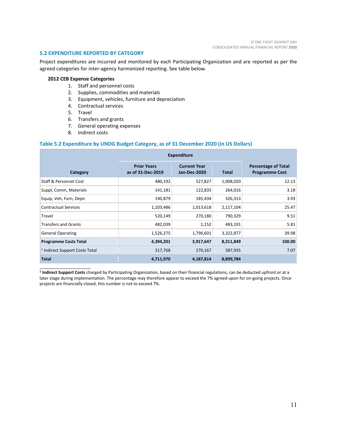#### **5.2 EXPENDITURE REPORTED BY CATEGORY**

Project expenditures are incurred and monitored by each Participating Organization and are reported as per the agreed categories for inter-agency harmonized reporting. See table below.

#### **2012 CEB Expense Categories**

- 1. Staff and personnel costs
- 2. Supplies, commodities and materials
- 3. Equipment, vehicles, furniture and depreciation
- 4. Contractual services
- 5. Travel

\_\_\_\_\_\_\_\_\_\_\_\_\_\_\_\_\_\_\_\_\_\_

- 6. Transfers and grants
- 7. General operating expenses
- 8. Indirect costs

#### **Table 5.2 Expenditure by UNDG Budget Category, as of 31 December 2020 (in US Dollars)**

|                                           | <b>Expenditure</b>                      |                                            |              |                                                     |
|-------------------------------------------|-----------------------------------------|--------------------------------------------|--------------|-----------------------------------------------------|
| Category                                  | <b>Prior Years</b><br>as of 31-Dec-2019 | <b>Current Year</b><br><b>Jan-Dec-2020</b> | <b>Total</b> | <b>Percentage of Total</b><br><b>Programme Cost</b> |
| <b>Staff &amp; Personnel Cost</b>         | 480,192                                 | 527,827                                    | 1,008,020    | 12.13                                               |
| Suppl, Comm, Materials                    | 141,181                                 | 122,835                                    | 264,016      | 3.18                                                |
| Equip, Veh, Furn, Depn                    | 140,879                                 | 185,434                                    | 326,313      | 3.93                                                |
| <b>Contractual Services</b>               | 1,103,486                               | 1,013,618                                  | 2,117,104    | 25.47                                               |
| Travel                                    | 520,149                                 | 270,180                                    | 790,329      | 9.51                                                |
| <b>Transfers and Grants</b>               | 482,039                                 | 1,152                                      | 483,191      | 5.81                                                |
| <b>General Operating</b>                  | 1,526,275                               | 1,796,601                                  | 3,322,877    | 39.98                                               |
| <b>Programme Costs Total</b>              | 4,394,201                               | 3,917,647                                  | 8,311,849    | 100.00                                              |
| <sup>1</sup> Indirect Support Costs Total | 317,768                                 | 270,167                                    | 587,935      | 7.07                                                |
| <b>Total</b>                              | 4,711,970                               | 4,187,814                                  | 8,899,784    |                                                     |

**<sup>1</sup> Indirect Support Costs** charged by Participating Organization, based on their financial regulations, can be deducted upfront or at a later stage during implementation. The percentage may therefore appear to exceed the 7% agreed-upon for on-going projects. Once projects are financially closed, this number is not to exceed 7%.